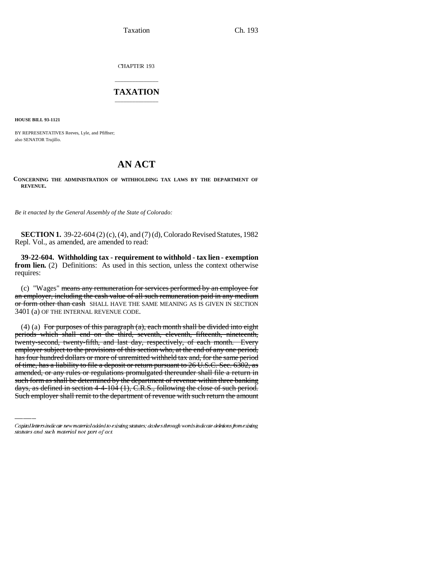Taxation Ch. 193

CHAPTER 193

## \_\_\_\_\_\_\_\_\_\_\_\_\_\_\_ **TAXATION** \_\_\_\_\_\_\_\_\_\_\_\_\_\_\_

**HOUSE BILL 93-1121**

BY REPRESENTATIVES Reeves, Lyle, and Pfiffner; also SENATOR Trujillo.

## **AN ACT**

**CONCERNING THE ADMINISTRATION OF WITHHOLDING TAX LAWS BY THE DEPARTMENT OF REVENUE.**

*Be it enacted by the General Assembly of the State of Colorado:*

**SECTION 1.** 39-22-604 (2) (c), (4), and (7) (d), Colorado Revised Statutes, 1982 Repl. Vol., as amended, are amended to read:

**39-22-604. Withholding tax - requirement to withhold - tax lien - exemption from lien.** (2) Definitions: As used in this section, unless the context otherwise requires:

(c) "Wages" means any remuneration for services performed by an employee for an employer, including the cash value of all such remuneration paid in any medium or form other than eash SHALL HAVE THE SAME MEANING AS IS GIVEN IN SECTION 3401 (a) OF THE INTERNAL REVENUE CODE.

of time, has a liability to file a deposit or return pursuant to 26 U.S.C. Sec. 6302, as (4) (a) For purposes of this paragraph  $(a)$ , each month shall be divided into eight periods which shall end on the third, seventh, eleventh, fifteenth, nineteenth, twenty-second, twenty-fifth, and last day, respectively, of each month. Every employer subject to the provisions of this section who, at the end of any one period, has four hundred dollars or more of unremitted withheld tax and, for the same period amended, or any rules or regulations promulgated thereunder shall file a return in such form as shall be determined by the department of revenue within three banking days, as defined in section 4-4-104 (1), C.R.S., following the close of such period. Such employer shall remit to the department of revenue with such return the amount

Capital letters indicate new material added to existing statutes; dashes through words indicate deletions from existing statutes and such material not part of act.